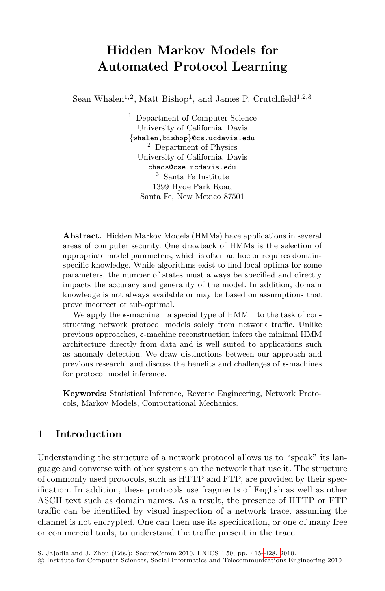# **Hidden Markov Models for Automated Protocol Learning**

Sean Whalen<sup>1,2</sup>, Matt Bishop<sup>1</sup>, and James P. Crutchfield<sup>1,2,3</sup>

<sup>1</sup> Department of Computer Science University of California, Davis *{*whalen,bishop*}*@cs.ucdavis.edu <sup>2</sup> Department of Physics University of California, Davis chaos@cse.ucdavis.edu <sup>3</sup> Santa Fe Institute 1399 Hyde Park Road Santa Fe, New Mexico 87501

**Abstract.** Hidden Markov Models (HMMs) have applications in several areas of computer security. One drawback of HMMs is the selection of appropriate model parameters, which is often ad hoc or requires domainspecific knowledge. While algorithms exist to find local optima for some parameters, the number of states must always be specified and directly impacts the accuracy and generality of the model. In addition, domain knowledge is not always available or may be based on assumptions that prove incorrect or sub-optimal.

We apply the  $\epsilon$ -machine—a special type of HMM—to the task of constructing network protocol models solely from network traffic. Unlike previous approaches,  $\epsilon$ -machine reconstruction infers the minimal HMM architecture directly from data and is well suited to applications such as anomaly detection. We draw distinctions between our approach and previous research, and discuss the benefits and challenges of  $\epsilon$ -machines for protocol model inference.

**Keywords:** Statistical Inference, Reverse Engineering, Network Protocols, Markov Models, Computational Mechanics.

## **1 Introduction**

Understanding the structure of a network protocol allows us to "speak" its language and converse with other systems on the network that use it. The structure of commonly used protocols, such as HTTP and FTP, are provided by their specification. In addition, these protocols use fragments of English as well as other ASCII text such as domain names. As a result, the presence of HTTP or FTP traffic can be identified by visual inspection of a network trace, assuming the channel is not encrypted. One can then use its specification, or one of many free or commercial tools, to understand the traffic present in the trace.

S. Jajodia and J. Zhou (Eds.): SecureComm 2010, LNICST 50, pp. 415[–428, 2](#page-13-0)010.

<sup>-</sup>c Institute for Computer Sciences, Social Informatics and Telecommunications Engineering 2010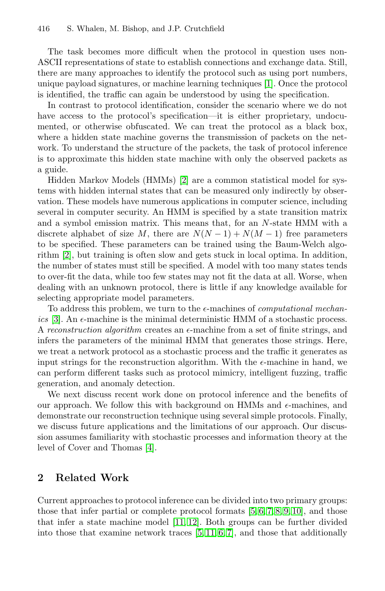The task becomes more difficult when the protocol in question uses non-ASCII representations of state to establish connections and exchange data. Still, there are many approaches to identify the protocol such as using port numbers, unique payload signatures, or machine learning techniques [\[1\]](#page-12-0). Once the protocol is identified, the traffic can again be understood by using the specification.

In contrast to protocol identification, consider the scenario where we do not have access to the protocol's specification—it is either proprietary, undocumented, or otherwise obfuscated. We can treat the protocol as a black box, where a hidden state machine governs the transmission of packets on the network. To understand the structure of the packets, the task of protocol inference is to approximate this hidden state machine with only the observed packets as a guide.

Hidden Markov Models (HMMs) [\[2\]](#page-12-1) are a common statistical model for systems with hidden internal states that can be measured only indirectly by observation. These models have numerous applications in computer science, including several in computer security. An HMM is specified by a state transition matrix and a symbol emission matrix. This means that, for an N-state HMM with a discrete alphabet of size M, there are  $N(N-1) + N(M-1)$  free parameters to be specified. These parameters can be trained using the Baum-Welch algorithm [\[2\]](#page-12-1), but training is often slow and gets stuck in local optima. In addition, the number of states must still be specified. A model with too many states tends to over-fit the data, while too few states may not fit the data at all. Worse, when dealing with an unknown protocol, there is little if any knowledge available for selecting appropriate model parameters.

To address this problem, we turn to the  $\epsilon$ -machines of *computational mechan*ics  $[3]$ . An  $\epsilon$ -machine is the minimal deterministic HMM of a stochastic process. A *reconstruction algorithm* creates an  $\epsilon$ -machine from a set of finite strings, and infers the parameters of the minimal HMM that generates those strings. Here, we treat a network protocol as a stochastic process and the traffic it generates as input strings for the reconstruction algorithm. With the  $\epsilon$ -machine in hand, we can perform different tasks such as protocol mimicry, intelligent fuzzing, traffic generation, and anomaly detection.

We next discuss recent work done on protocol inference and the benefits of our approach. We follow this with background on HMMs and  $\epsilon$ -machines, and demonstrate our reconstruction technique using several simple protocols. Finally, we discuss future applications and the limitations of our approach. Our discussion assumes familiarity with stochastic processes and information theory at the level of Cover and Thomas [\[4\]](#page-12-3).

## **2 Related Work**

Current approaches to protocol inference can be divided into two primary groups: those that infer partial or complete protocol formats [\[5,](#page-12-4) [6,](#page-12-5) [7,](#page-12-6) [8,](#page-12-7) [9,](#page-12-8) [10\]](#page-12-9), and those that infer a state machine model [\[11,](#page-13-1) [12\]](#page-13-2). Both groups can be further divided into those that examine network traces  $[5, 11, 6, 7]$  $[5, 11, 6, 7]$  $[5, 11, 6, 7]$  $[5, 11, 6, 7]$ , and those that additionally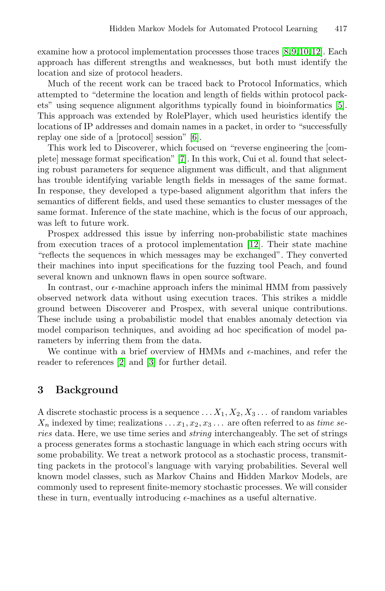examine how a protocol implementation processes those traces [\[8,](#page-12-7)[9,](#page-12-8)[10,](#page-12-9)[12\]](#page-13-2). Each approach has different strengths and weaknesses, but both must identify the location and size of protocol headers.

Much of the recent work can be traced back to Protocol Informatics, which attempted to "determine the location and length of fields within protocol packets" using sequence alignment algorithms typically found in bioinformatics [\[5\]](#page-12-4). This approach was extended by RolePlayer, which used heuristics identify the locations of IP addresses and domain names in a packet, in order to "successfully replay one side of a [protocol] session" [\[6\]](#page-12-5).

This work led to Discoverer, which focused on "reverse engineering the [complete] message format specification" [\[7\]](#page-12-6). In this work, Cui et al. found that selecting robust parameters for sequence alignment was difficult, and that alignment has trouble identifying variable length fields in messages of the same format. In response, they developed a type-based alignment algorithm that infers the semantics of different fields, and used these semantics to cluster messages of the same format. Inference of the state machine, which is the focus of our approach, was left to future work.

Prospex addressed this issue by inferring non-probabilistic state machines from execution traces of a protocol implementation [\[12\]](#page-13-2). Their state machine "reflects the sequences in which messages may be exchanged". They converted their machines into input specifications for the fuzzing tool Peach, and found several known and unknown flaws in open source software.

In contrast, our  $\epsilon$ -machine approach infers the minimal HMM from passively observed network data without using execution traces. This strikes a middle ground between Discoverer and Prospex, with several unique contributions. These include using a probabilistic model that enables anomaly detection via model comparison techniques, and avoiding ad hoc specification of model parameters by inferring them from the data.

We continue with a brief overview of HMMs and  $\epsilon$ -machines, and refer the reader to references [\[2\]](#page-12-1) and [\[3\]](#page-12-2) for further detail.

## **3 Background**

A discrete stochastic process is a sequence  $\dots X_1, X_2, X_3 \dots$  of random variables  $X_n$  indexed by time; realizations  $\dots x_1, x_2, x_3 \dots$  are often referred to as *time series* data. Here, we use time series and *string* interchangeably. The set of strings a process generates forms a stochastic language in which each string occurs with some probability. We treat a network protocol as a stochastic process, transmitting packets in the protocol's language with varying probabilities. Several well known model classes, such as Markov Chains and Hidden Markov Models, are commonly used to represent finite-memory stochastic processes. We will consider these in turn, eventually introducing  $\epsilon$ -machines as a useful alternative.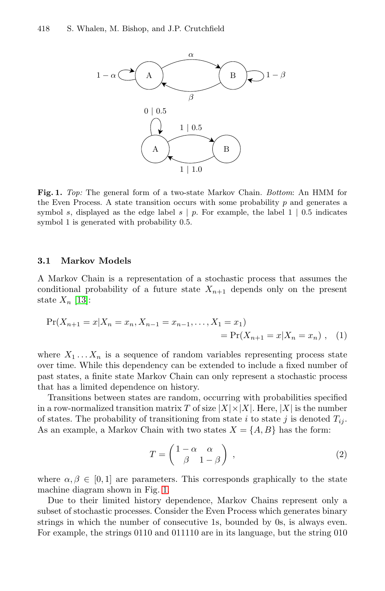

<span id="page-3-0"></span>**Fig. 1.** *Top:* The general form of a two-state Markov Chain. *Bottom*: An HMM for the Even Process. A state transition occurs with some probability  $p$  and generates a symbol s, displayed as the edge label s *|* p. For example, the label 1 *|* 0.5 indicates symbol 1 is generated with probability 0.5.

#### **3.1 Markov Models**

A Markov Chain is a representation of a stochastic process that assumes the conditional probability of a future state  $X_{n+1}$  depends only on the present state  $X_n$  [\[13\]](#page-13-3):

$$
Pr(X_{n+1} = x | X_n = x_n, X_{n-1} = x_{n-1}, \dots, X_1 = x_1)
$$
  
= 
$$
Pr(X_{n+1} = x | X_n = x_n), (1)
$$

where  $X_1 \ldots X_n$  is a sequence of random variables representing process state over time. While this dependency can be extended to include a fixed number of past states, a finite state Markov Chain can only represent a stochastic process that has a limited dependence on history.

Transitions between states are random, occurring with probabilities specified in a row-normalized transition matrix T of size  $|X| \times |X|$ . Here,  $|X|$  is the number of states. The probability of transitioning from state i to state j is denoted  $T_{ii}$ . As an example, a Markov Chain with two states  $X = \{A, B\}$  has the form:

$$
T = \begin{pmatrix} 1 - \alpha & \alpha \\ \beta & 1 - \beta \end{pmatrix} , \qquad (2)
$$

where  $\alpha, \beta \in [0, 1]$  are parameters. This corresponds graphically to the state machine diagram shown in Fig. [1.](#page-3-0)

Due to their limited history dependence, Markov Chains represent only a subset of stochastic processes. Consider the Even Process which generates binary strings in which the number of consecutive 1s, bounded by 0s, is always even. For example, the strings 0110 and 011110 are in its language, but the string 010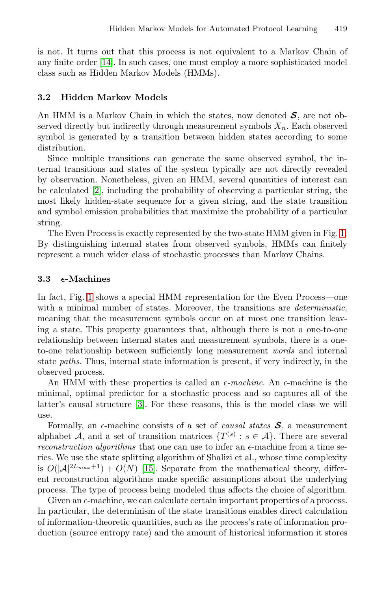is not. It turns out that this process is not equivalent to a Markov Chain of any finite order [\[14\]](#page-13-4). In such cases, one must employ a more sophisticated model class such as Hidden Markov Models (HMMs).

#### **3.2 Hidden Markov Models**

An HMM is a Markov Chain in which the states, now denoted *S*, are not observed directly but indirectly through measurement symbols  $X_n$ . Each observed symbol is generated by a transition between hidden states according to some distribution.

Since multiple transitions can generate the same observed symbol, the internal transitions and states of the system typically are not directly revealed by observation. Nonetheless, given an HMM, several quantities of interest can be calculated [\[2\]](#page-12-1), including the probability of observing a particular string, the most likely hidden-state sequence for a given string, and the state transition and symbol emission probabilities that maximize the probability of a particular string.

The Even Process is exactly represented by the two-state HMM given in Fig. [1.](#page-3-0) By distinguishing internal states from observed symbols, HMMs can finitely represent a much wider class of stochastic processes than Markov Chains.

#### **3.3** *-***-Machines**

In fact, Fig. [1](#page-3-0) shows a special HMM representation for the Even Process—one with a minimal number of states. Moreover, the transitions are *deterministic*, meaning that the measurement symbols occur on at most one transition leaving a state. This property guarantees that, although there is not a one-to-one relationship between internal states and measurement symbols, there is a oneto-one relationship between sufficiently long measurement *words* and internal state *paths*. Thus, internal state information is present, if very indirectly, in the observed process.

An HMM with these properties is called an  $\epsilon$ -machine. An  $\epsilon$ -machine is the minimal, optimal predictor for a stochastic process and so captures all of the latter's causal structure [\[3\]](#page-12-2). For these reasons, this is the model class we will use.

Formally, an  $\epsilon$ -machine consists of a set of *causal states*  $S$ , a measurement alphabet A, and a set of transition matrices  $\{T^{(s)}: s \in A\}$ . There are several *reconstruction algorithms* that one can use to infer an  $\epsilon$ -machine from a time series. We use the state splitting algorithm of Shalizi et al., whose time complexity is  $O(|A|^{2L_{max}+1}) + O(N)$  [\[15\]](#page-13-5). Separate from the mathematical theory, different reconstruction algorithms make specific assumptions about the underlying process. The type of process being modeled thus affects the choice of algorithm.

Given an  $\epsilon$ -machine, we can calculate certain important properties of a process. In particular, the determinism of the state transitions enables direct calculation of information-theoretic quantities, such as the process's rate of information production (source entropy rate) and the amount of historical information it stores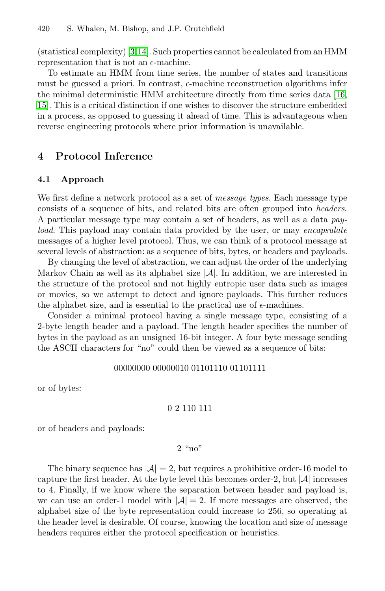(statistical complexity) [\[3,](#page-12-2)[14\]](#page-13-4). Such properties cannot be calculated from an HMM representation that is not an  $\epsilon$ -machine.

To estimate an HMM from time series, the number of states and transitions must be guessed a priori. In contrast,  $\epsilon$ -machine reconstruction algorithms infer the minimal deterministic HMM architecture directly from time series data [\[16,](#page-13-6) [15\]](#page-13-5). This is a critical distinction if one wishes to discover the structure embedded in a process, as opposed to guessing it ahead of time. This is advantageous when reverse engineering protocols where prior information is unavailable.

## **4 Protocol Inference**

### **4.1 Approach**

We first define a network protocol as a set of *message types*. Each message type consists of a sequence of bits, and related bits are often grouped into *headers*. A particular message type may contain a set of headers, as well as a data *payload*. This payload may contain data provided by the user, or may *encapsulate* messages of a higher level protocol. Thus, we can think of a protocol message at several levels of abstraction: as a sequence of bits, bytes, or headers and payloads.

By changing the level of abstraction, we can adjust the order of the underlying Markov Chain as well as its alphabet size  $|\mathcal{A}|$ . In addition, we are interested in the structure of the protocol and not highly entropic user data such as images or movies, so we attempt to detect and ignore payloads. This further reduces the alphabet size, and is essential to the practical use of  $\epsilon$ -machines.

Consider a minimal protocol having a single message type, consisting of a 2-byte length header and a payload. The length header specifies the number of bytes in the payload as an unsigned 16-bit integer. A four byte message sending the ASCII characters for "no" could then be viewed as a sequence of bits:

#### 00000000 00000010 01101110 01101111

or of bytes:

### 0 2 110 111

or of headers and payloads:

#### 2 "no"

The binary sequence has  $|\mathcal{A}| = 2$ , but requires a prohibitive order-16 model to capture the first header. At the byte level this becomes order-2, but  $|\mathcal{A}|$  increases to 4. Finally, if we know where the separation between header and payload is, we can use an order-1 model with  $|\mathcal{A}| = 2$ . If more messages are observed, the alphabet size of the byte representation could increase to 256, so operating at the header level is desirable. Of course, knowing the location and size of message headers requires either the protocol specification or heuristics.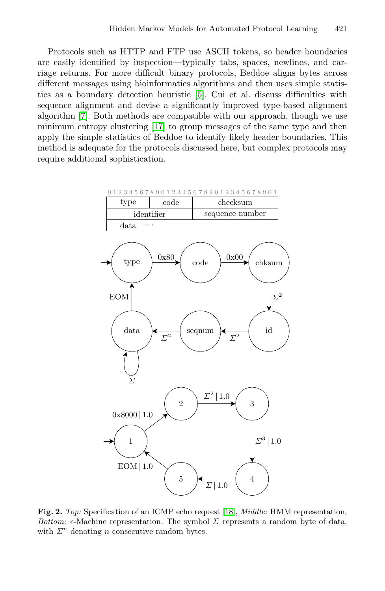Protocols such as HTTP and FTP use ASCII tokens, so header boundaries are easily identified by inspection—typically tabs, spaces, newlines, and carriage returns. For more difficult binary protocols, Beddoe aligns bytes across different messages using bioinformatics algorithms and then uses simple statistics as a boundary detection heuristic [\[5\]](#page-12-4). Cui et al. discuss difficulties with sequence alignment and devise a significantly improved type-based alignment algorithm [\[7\]](#page-12-6). Both methods are compatible with our approach, though we use minimum entropy clustering [\[17\]](#page-13-7) to group messages of the same type and then apply the simple statistics of Beddoe to identify likely header boundaries. This method is adequate for the protocols discussed here, but complex protocols may require additional sophistication.



<span id="page-6-0"></span>**Fig. 2.** *Top:* Specification of an ICMP echo request [\[18\]](#page-13-8), *Middle:* HMM representation, *Bottom:*  $\epsilon$ -Machine representation. The symbol  $\Sigma$  represents a random byte of data, with  $\Sigma<sup>n</sup>$  denoting *n* consecutive random bytes.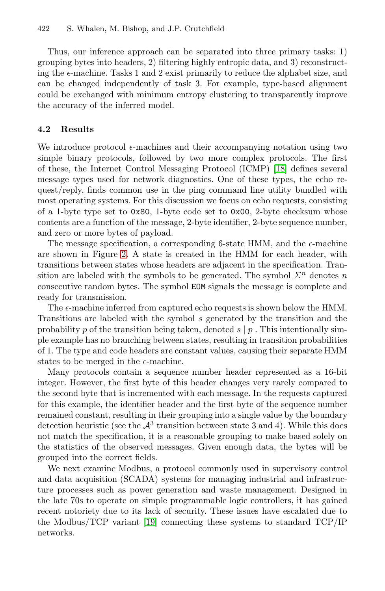Thus, our inference approach can be separated into three primary tasks: 1) grouping bytes into headers, 2) filtering highly entropic data, and 3) reconstructing the  $\epsilon$ -machine. Tasks 1 and 2 exist primarily to reduce the alphabet size, and can be changed independently of task 3. For example, type-based alignment could be exchanged with minimum entropy clustering to transparently improve the accuracy of the inferred model.

### **4.2 Results**

We introduce protocol  $\epsilon$ -machines and their accompanying notation using two simple binary protocols, followed by two more complex protocols. The first of these, the Internet Control Messaging Protocol (ICMP) [\[18\]](#page-13-8) defines several message types used for network diagnostics. One of these types, the echo request/reply, finds common use in the ping command line utility bundled with most operating systems. For this discussion we focus on echo requests, consisting of a 1-byte type set to 0x80, 1-byte code set to 0x00, 2-byte checksum whose contents are a function of the message, 2-byte identifier, 2-byte sequence number, and zero or more bytes of payload.

The message specification, a corresponding 6-state HMM, and the  $\epsilon$ -machine are shown in Figure [2.](#page-6-0) A state is created in the HMM for each header, with transitions between states whose headers are adjacent in the specification. Transition are labeled with the symbols to be generated. The symbol  $\Sigma^n$  denotes n consecutive random bytes. The symbol EOM signals the message is complete and ready for transmission.

The  $\epsilon$ -machine inferred from captured echo requests is shown below the HMM. Transitions are labeled with the symbol s generated by the transition and the probability p of the transition being taken, denoted  $s | p$ . This intentionally simple example has no branching between states, resulting in transition probabilities of 1. The type and code headers are constant values, causing their separate HMM states to be merged in the  $\epsilon$ -machine.

Many protocols contain a sequence number header represented as a 16-bit integer. However, the first byte of this header changes very rarely compared to the second byte that is incremented with each message. In the requests captured for this example, the identifier header and the first byte of the sequence number remained constant, resulting in their grouping into a single value by the boundary detection heuristic (see the  $\mathcal{A}^3$  transition between state 3 and 4). While this does not match the specification, it is a reasonable grouping to make based solely on the statistics of the observed messages. Given enough data, the bytes will be grouped into the correct fields.

We next examine Modbus, a protocol commonly used in supervisory control and data acquisition (SCADA) systems for managing industrial and infrastructure processes such as power generation and waste management. Designed in the late 70s to operate on simple programmable logic controllers, it has gained recent notoriety due to its lack of security. These issues have escalated due to the Modbus/TCP variant [\[19\]](#page-13-9) connecting these systems to standard TCP/IP networks.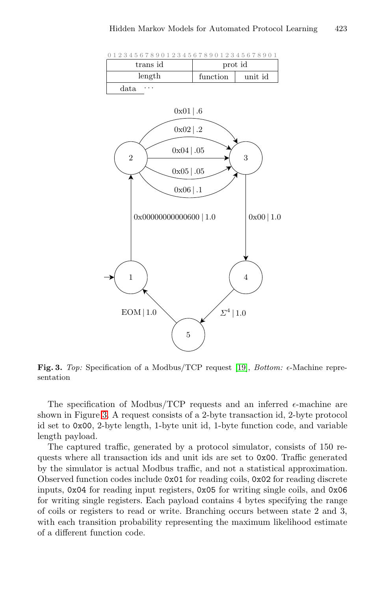



<span id="page-8-0"></span>**Fig. 3.** *Top:* Specification of a Modbus/TCP request [\[19\]](#page-13-9), *Bottom:*  $\epsilon$ -Machine representation

The specification of Modbus/TCP requests and an inferred  $\epsilon$ -machine are shown in Figure [3.](#page-8-0) A request consists of a 2-byte transaction id, 2-byte protocol id set to 0x00, 2-byte length, 1-byte unit id, 1-byte function code, and variable length payload.

The captured traffic, generated by a protocol simulator, consists of 150 requests where all transaction ids and unit ids are set to 0x00. Traffic generated by the simulator is actual Modbus traffic, and not a statistical approximation. Observed function codes include 0x01 for reading coils, 0x02 for reading discrete inputs, 0x04 for reading input registers, 0x05 for writing single coils, and 0x06 for writing single registers. Each payload contains 4 bytes specifying the range of coils or registers to read or write. Branching occurs between state 2 and 3, with each transition probability representing the maximum likelihood estimate of a different function code.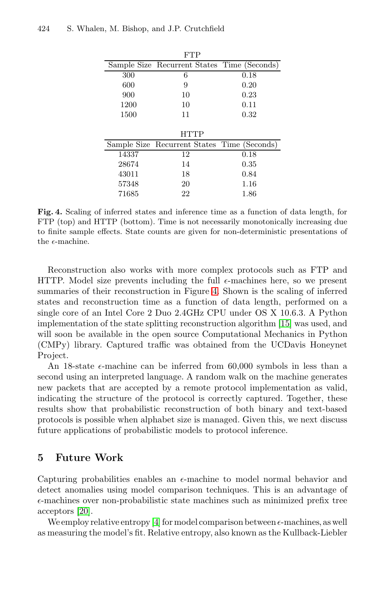|       | FTP                                         |          |
|-------|---------------------------------------------|----------|
|       | Sample Size Recurrent States Time (Seconds) |          |
| 300   | 6                                           | 0.18     |
| 600   | 9                                           | 0.20     |
| 900   | 10                                          | 0.23     |
| 1200  | 10                                          | 0.11     |
| 1500  | 11                                          | 0.32     |
|       |                                             |          |
|       |                                             |          |
|       | <b>HTTP</b>                                 |          |
|       | Sample Size Recurrent States Time (Seconds) |          |
| 14337 | 12                                          | 0.18     |
| 28674 | 14                                          | $0.35\,$ |
| 43011 | 18                                          | 0.84     |
| 57348 | 20                                          | 1.16     |

<span id="page-9-0"></span>**Fig. 4.** Scaling of inferred states and inference time as a function of data length, for FTP (top) and HTTP (bottom). Time is not necessarily monotonically increasing due to finite sample effects. State counts are given for non-deterministic presentations of the  $\epsilon$ -machine.

Reconstruction also works with more complex protocols such as FTP and HTTP. Model size prevents including the full  $\epsilon$ -machines here, so we present summaries of their reconstruction in Figure [4.](#page-9-0) Shown is the scaling of inferred states and reconstruction time as a function of data length, performed on a single core of an Intel Core 2 Duo 2.4GHz CPU under OS X 10.6.3. A Python implementation of the state splitting reconstruction algorithm [\[15\]](#page-13-5) was used, and will soon be available in the open source Computational Mechanics in Python (CMPy) library. Captured traffic was obtained from the UCDavis Honeynet Project.

An 18-state  $\epsilon$ -machine can be inferred from 60,000 symbols in less than a second using an interpreted language. A random walk on the machine generates new packets that are accepted by a remote protocol implementation as valid, indicating the structure of the protocol is correctly captured. Together, these results show that probabilistic reconstruction of both binary and text-based protocols is possible when alphabet size is managed. Given this, we next discuss future applications of probabilistic models to protocol inference.

## **5 Future Work**

Capturing probabilities enables an  $\epsilon$ -machine to model normal behavior and detect anomalies using model comparison techniques. This is an advantage of  $\epsilon$ -machines over non-probabilistic state machines such as minimized prefix tree acceptors [\[20\]](#page-13-10).

We employ relative entropy [\[4\]](#page-12-3) for model comparison between  $\epsilon$ -machines, as well as measuring the model's fit. Relative entropy, also known as the Kullback-Liebler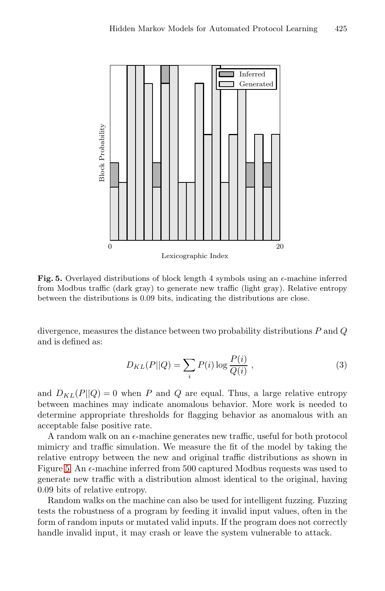

<span id="page-10-0"></span>**Fig. 5.** Overlayed distributions of block length 4 symbols using an  $\epsilon$ -machine inferred from Modbus traffic (dark gray) to generate new traffic (light gray). Relative entropy between the distributions is 0.09 bits, indicating the distributions are close.

divergence, measures the distance between two probability distributions  $P$  and  $Q$ and is defined as:

$$
D_{KL}(P||Q) = \sum_{i} P(i) \log \frac{P(i)}{Q(i)},
$$
\n(3)

and  $D_{KL}(P||Q) = 0$  when P and Q are equal. Thus, a large relative entropy between machines may indicate anomalous behavior. More work is needed to determine appropriate thresholds for flagging behavior as anomalous with an acceptable false positive rate.

A random walk on an  $\epsilon$ -machine generates new traffic, useful for both protocol mimicry and traffic simulation. We measure the fit of the model by taking the relative entropy between the new and original traffic distributions as shown in Figure [5.](#page-10-0) An  $\epsilon$ -machine inferred from 500 captured Modbus requests was used to generate new traffic with a distribution almost identical to the original, having 0.09 bits of relative entropy.

Random walks on the machine can also be used for intelligent fuzzing. Fuzzing tests the robustness of a program by feeding it invalid input values, often in the form of random inputs or mutated valid inputs. If the program does not correctly handle invalid input, it may crash or leave the system vulnerable to attack.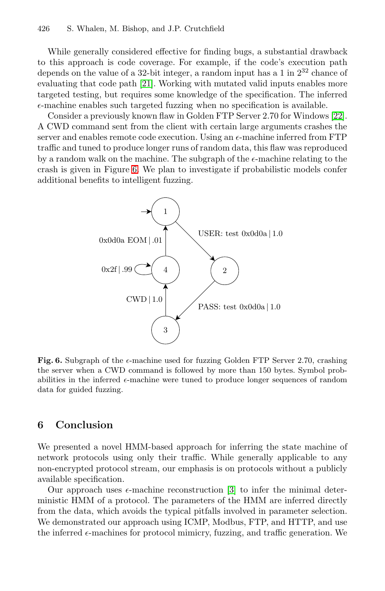While generally considered effective for finding bugs, a substantial drawback to this approach is code coverage. For example, if the code's execution path depends on the value of a 32-bit integer, a random input has a 1 in  $2^{32}$  chance of evaluating that code path [\[21\]](#page-13-11). Working with mutated valid inputs enables more targeted testing, but requires some knowledge of the specification. The inferred  $\epsilon$ -machine enables such targeted fuzzing when no specification is available.

Consider a previously known flaw in Golden FTP Server 2.70 for Windows [\[22\]](#page-13-12). A CWD command sent from the client with certain large arguments crashes the server and enables remote code execution. Using an  $\epsilon$ -machine inferred from FTP traffic and tuned to produce longer runs of random data, this flaw was reproduced by a random walk on the machine. The subgraph of the  $\epsilon$ -machine relating to the crash is given in Figure [6.](#page-11-0) We plan to investigate if probabilistic models confer additional benefits to intelligent fuzzing.



<span id="page-11-0"></span>**Fig. 6.** Subgraph of the  $\epsilon$ -machine used for fuzzing Golden FTP Server 2.70, crashing the server when a CWD command is followed by more than 150 bytes. Symbol probabilities in the inferred  $\epsilon$ -machine were tuned to produce longer sequences of random data for guided fuzzing.

## **6 Conclusion**

We presented a novel HMM-based approach for inferring the state machine of network protocols using only their traffic. While generally applicable to any non-encrypted protocol stream, our emphasis is on protocols without a publicly available specification.

Our approach uses  $\epsilon$ -machine reconstruction [\[3\]](#page-12-2) to infer the minimal deterministic HMM of a protocol. The parameters of the HMM are inferred directly from the data, which avoids the typical pitfalls involved in parameter selection. We demonstrated our approach using ICMP, Modbus, FTP, and HTTP, and use the inferred  $\epsilon$ -machines for protocol mimicry, fuzzing, and traffic generation. We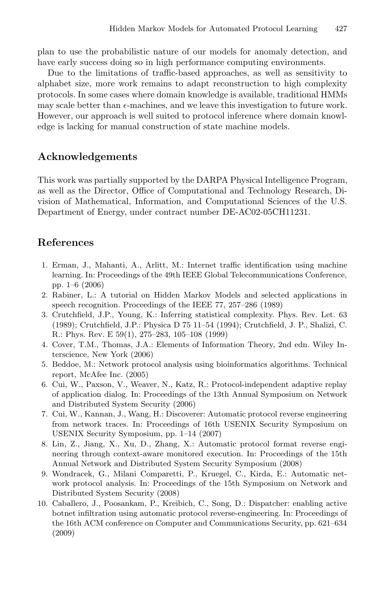plan to use the probabilistic nature of our models for anomaly detection, and have early success doing so in high performance computing environments.

Due to the limitations of traffic-based approaches, as well as sensitivity to alphabet size, more work remains to adapt reconstruction to high complexity protocols. In some cases where domain knowledge is available, traditional HMMs may scale better than  $\epsilon$ -machines, and we leave this investigation to future work. However, our approach is well suited to protocol inference where domain knowledge is lacking for manual construction of state machine models.

## **Acknowledgements**

This work was partially supported by the DARPA Physical Intelligence Program, as well as the Director, Office of Computational and Technology Research, Division of Mathematical, Information, and Computational Sciences of the U.S. Department of Energy, under contract number DE-AC02-05CH11231.

## **References**

- <span id="page-12-0"></span>1. Erman, J., Mahanti, A., Arlitt, M.: Internet traffic identification using machine learning. In: Proceedings of the 49th IEEE Global Telecommunications Conference, pp. 1–6 (2006)
- <span id="page-12-1"></span>2. Rabiner, L.: A tutorial on Hidden Markov Models and selected applications in speech recognition. Proceedings of the IEEE 77, 257–286 (1989)
- <span id="page-12-2"></span>3. Crutchfield, J.P., Young, K.: Inferring statistical complexity. Phys. Rev. Let. 63 (1989); Crutchfield, J.P.: Physica D 75 11–54 (1994); Crutchfield, J. P., Shalizi, C. R.: Phys. Rev. E 59(1), 275–283, 105–108 (1999)
- <span id="page-12-3"></span>4. Cover, T.M., Thomas, J.A.: Elements of Information Theory, 2nd edn. Wiley Interscience, New York (2006)
- <span id="page-12-4"></span>5. Beddoe, M.: Network protocol analysis using bioinformatics algorithms. Technical report, McAfee Inc. (2005)
- <span id="page-12-5"></span>6. Cui, W., Paxson, V., Weaver, N., Katz, R.: Protocol-independent adaptive replay of application dialog. In: Proceedings of the 13th Annual Symposium on Network and Distributed System Security (2006)
- <span id="page-12-6"></span>7. Cui, W., Kannan, J., Wang, H.: Discoverer: Automatic protocol reverse engineering from network traces. In: Proceedings of 16th USENIX Security Symposium on USENIX Security Symposium, pp. 1–14 (2007)
- <span id="page-12-7"></span>8. Lin, Z., Jiang, X., Xu, D., Zhang, X.: Automatic protocol format reverse engineering through context-aware monitored execution. In: Proceedings of the 15th Annual Network and Distributed System Security Symposium (2008)
- <span id="page-12-8"></span>9. Wondracek, G., Milani Comparetti, P., Kruegel, C., Kirda, E.: Automatic network protocol analysis. In: Proceedings of the 15th Symposium on Network and Distributed System Security (2008)
- <span id="page-12-9"></span>10. Caballero, J., Poosankam, P., Kreibich, C., Song, D.: Dispatcher: enabling active botnet infiltration using automatic protocol reverse-engineering. In: Proceedings of the 16th ACM conference on Computer and Communications Security, pp. 621–634 (2009)